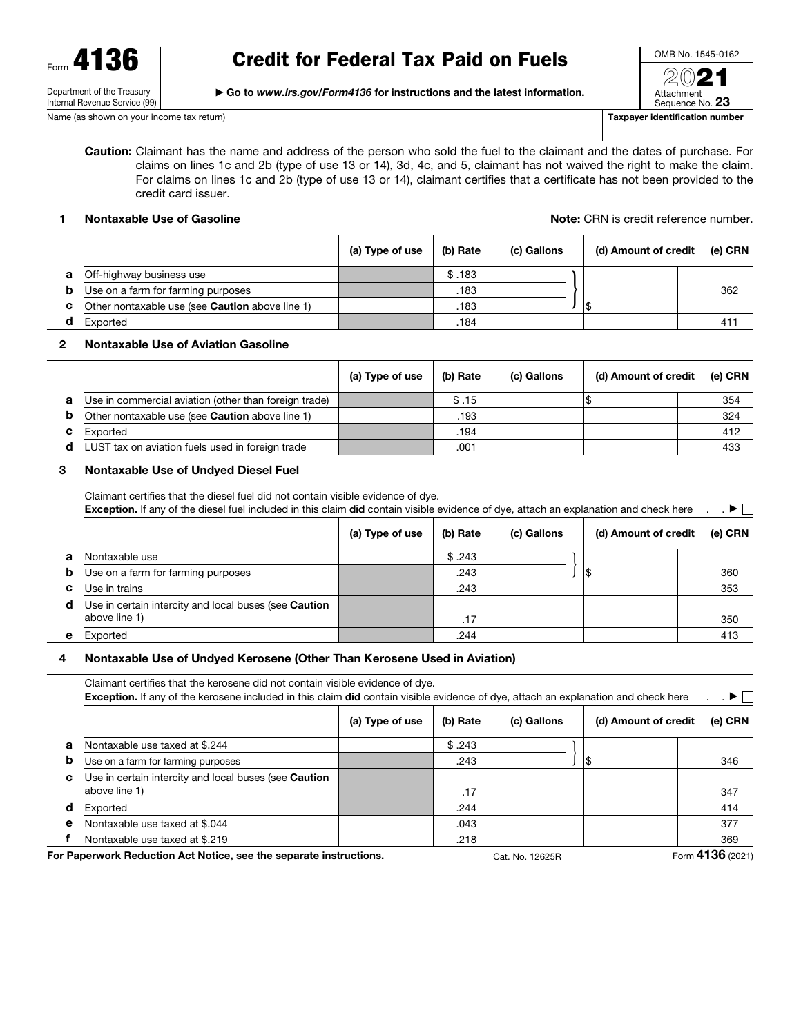Form 4136

Department of the Treasury Internal Revenue Service (99) ▶ Go to *www.irs.gov/Form4136* for instructions and the latest information.

Attachment

Sequence No. 23 Name (as shown on your income tax return) Taxpayer identification number

Caution: Claimant has the name and address of the person who sold the fuel to the claimant and the dates of purchase. For claims on lines 1c and 2b (type of use 13 or 14), 3d, 4c, and 5, claimant has not waived the right to make the claim. For claims on lines 1c and 2b (type of use 13 or 14), claimant certifies that a certificate has not been provided to the credit card issuer.

1 Nontaxable Use of Gasoline Note: CRN is credit reference number.

|   |                                                 | (a) Type of use | (b) Rate | (c) Gallons | (d) Amount of credit | (e) CRN |
|---|-------------------------------------------------|-----------------|----------|-------------|----------------------|---------|
| а | Off-highway business use                        |                 | \$.183   |             |                      |         |
| b | Use on a farm for farming purposes              |                 | .183     |             |                      | 362     |
| c | Other nontaxable use (see Caution above line 1) |                 | .183     |             |                      |         |
|   | Exported                                        |                 | .184     |             |                      | 411     |

# 2 Nontaxable Use of Aviation Gasoline

|   |                                                        | (a) Type of use | (b) Rate | (c) Gallons | (d) Amount of credit |  | (e) CRN |
|---|--------------------------------------------------------|-----------------|----------|-------------|----------------------|--|---------|
| а | Use in commercial aviation (other than foreign trade)  |                 | \$.15    |             |                      |  | 354     |
| b | Other nontaxable use (see <b>Caution</b> above line 1) |                 | .193     |             |                      |  | 324     |
| c | Exported                                               |                 | .194     |             |                      |  | 412     |
|   | LUST tax on aviation fuels used in foreign trade       |                 | .001     |             |                      |  | 433     |

# 3 Nontaxable Use of Undyed Diesel Fuel

|    | Claimant certifies that the diesel fuel did not contain visible evidence of dye.<br>Exception. If any of the diesel fuel included in this claim did contain visible evidence of dye, attach an explanation and check here |                 |          |             |                      |  | $\blacktriangleright \Box$ |
|----|---------------------------------------------------------------------------------------------------------------------------------------------------------------------------------------------------------------------------|-----------------|----------|-------------|----------------------|--|----------------------------|
|    |                                                                                                                                                                                                                           | (a) Type of use | (b) Rate | (c) Gallons | (d) Amount of credit |  | (e) CRN                    |
| a  | Nontaxable use                                                                                                                                                                                                            |                 | \$.243   |             |                      |  |                            |
| b  | Use on a farm for farming purposes                                                                                                                                                                                        |                 | .243     |             |                      |  | 360                        |
| c. | Use in trains                                                                                                                                                                                                             |                 | .243     |             |                      |  | 353                        |
| d  | Use in certain intercity and local buses (see <b>Caution</b><br>above line 1)                                                                                                                                             |                 | .17      |             |                      |  | 350                        |
| е  | Exported                                                                                                                                                                                                                  |                 | .244     |             |                      |  | 413                        |

# 4 Nontaxable Use of Undyed Kerosene (Other Than Kerosene Used in Aviation)

Claimant certifies that the kerosene did not contain visible evidence of dye. Exception. If any of the kerosene included in this claim did contain visible evidence of dye, attach an explanation and check here . . . ▶ (a) Type of use  $\begin{vmatrix} 1 & 0 \end{vmatrix}$  Rate  $\begin{vmatrix} 1 & 0 \end{vmatrix}$  Gallons  $\begin{vmatrix} 1 & 0 \end{vmatrix}$  Amount of credit  $\begin{vmatrix} 1 & 0 \end{vmatrix}$  CRN **a** Nontaxable use taxed at \$.244  $\qquad \qquad$   $\qquad$   $\qquad$   $\qquad$  \$.243 b Use on a farm for farming purposes .243 \$ 346 c Use in certain intercity and local buses (see Caution above line 1) .17 347 d Exported .244 414 e Nontaxable use taxed at \$.044  $\vert$  .043  $\vert$  .043  $\vert$  .043  $\vert$  .043  $\vert$  1377 }

f Nontaxable use taxed at \$.219 .218 369

For Paperwork Reduction Act Notice, see the separate instructions. Cat. No. 12625R Form 4136 (2021)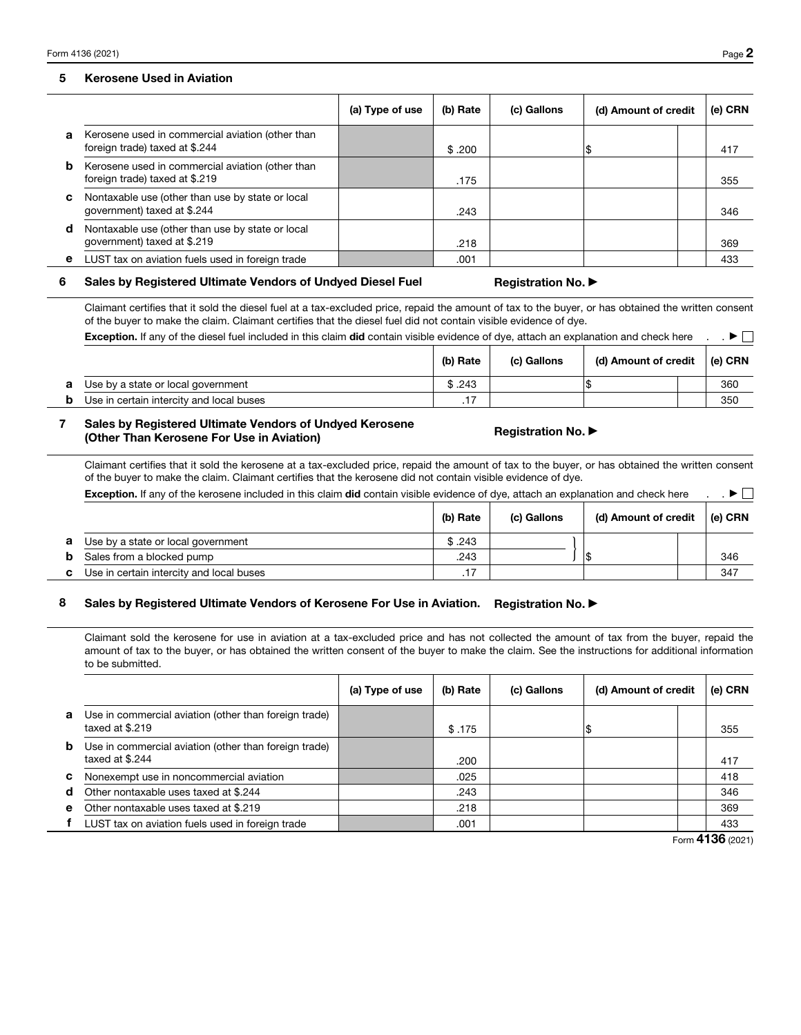#### 5 Kerosene Used in Aviation

|   |                                                                                    | (a) Type of use | (b) Rate | (c) Gallons | (d) Amount of credit | (e) CRN |
|---|------------------------------------------------------------------------------------|-----------------|----------|-------------|----------------------|---------|
| а | Kerosene used in commercial aviation (other than<br>foreign trade) taxed at \$.244 |                 | \$.200   |             |                      | 417     |
| b | Kerosene used in commercial aviation (other than<br>foreign trade) taxed at \$.219 |                 | .175     |             |                      | 355     |
| c | Nontaxable use (other than use by state or local<br>government) taxed at \$.244    |                 | .243     |             |                      | 346     |
| d | Nontaxable use (other than use by state or local<br>government) taxed at \$.219    |                 | .218     |             |                      | 369     |
|   | LUST tax on aviation fuels used in foreign trade                                   |                 | .001     |             |                      | 433     |

#### 6 Sales by Registered Ultimate Vendors of Undyed Diesel Fuel Registration No. ▶

Claimant certifies that it sold the diesel fuel at a tax-excluded price, repaid the amount of tax to the buyer, or has obtained the written consent of the buyer to make the claim. Claimant certifies that the diesel fuel did not contain visible evidence of dye.

| <b>Exception.</b> If any of the diesel fuel included in this claim <b>did</b> contain visible evidence of dye, attach an explanation and check here |          |             |                      |  |             |
|-----------------------------------------------------------------------------------------------------------------------------------------------------|----------|-------------|----------------------|--|-------------|
|                                                                                                                                                     | (b) Rate | (c) Gallons | (d) Amount of credit |  | $ $ (e) CRN |
| Use by a state or local government                                                                                                                  | \$.243   |             |                      |  | 360         |
| Use in certain intercity and local buses                                                                                                            | .17      |             |                      |  | 350         |

### 7 Sales by Registered Ultimate Vendors of Undyed Kerosene bales by negistered offiniate vendors of ondyed Rerosene For Displacement Registration No. ▶<br>(Other Than Kerosene For Use in Aviation)

Claimant certifies that it sold the kerosene at a tax-excluded price, repaid the amount of tax to the buyer, or has obtained the written consent of the buyer to make the claim. Claimant certifies that the kerosene did not contain visible evidence of dye.  $\overline{a}$ 

|   | <b>Exception.</b> If any of the kerosene included in this claim did contain visible evidence of dye, attach an explanation and check here |          |             |                      |         |  |
|---|-------------------------------------------------------------------------------------------------------------------------------------------|----------|-------------|----------------------|---------|--|
|   |                                                                                                                                           | (b) Rate | (c) Gallons | (d) Amount of credit | (e) CRN |  |
|   | Use by a state or local government                                                                                                        | \$.243   |             |                      |         |  |
|   | Sales from a blocked pump                                                                                                                 | .243     |             |                      | 346     |  |
| c | Use in certain intercity and local buses                                                                                                  | .17      |             |                      | 347     |  |

# 8 Sales by Registered Ultimate Vendors of Kerosene For Use in Aviation. Registration No. ▶

Claimant sold the kerosene for use in aviation at a tax-excluded price and has not collected the amount of tax from the buyer, repaid the amount of tax to the buyer, or has obtained the written consent of the buyer to make the claim. See the instructions for additional information to be submitted.

|   |                                                                          | (a) Type of use | (b) Rate | (c) Gallons | (d) Amount of credit | (e) CRN |
|---|--------------------------------------------------------------------------|-----------------|----------|-------------|----------------------|---------|
| а | Use in commercial aviation (other than foreign trade)<br>taxed at \$.219 |                 | \$.175   |             |                      | 355     |
| b | Use in commercial aviation (other than foreign trade)<br>taxed at \$.244 |                 | .200     |             |                      | 417     |
| C | Nonexempt use in noncommercial aviation                                  |                 | .025     |             |                      | 418     |
| d | Other nontaxable uses taxed at \$.244                                    |                 | .243     |             |                      | 346     |
| е | Other nontaxable uses taxed at \$.219                                    |                 | .218     |             |                      | 369     |
|   | LUST tax on aviation fuels used in foreign trade                         |                 | .001     |             |                      | 433     |

Form 4136 (2021)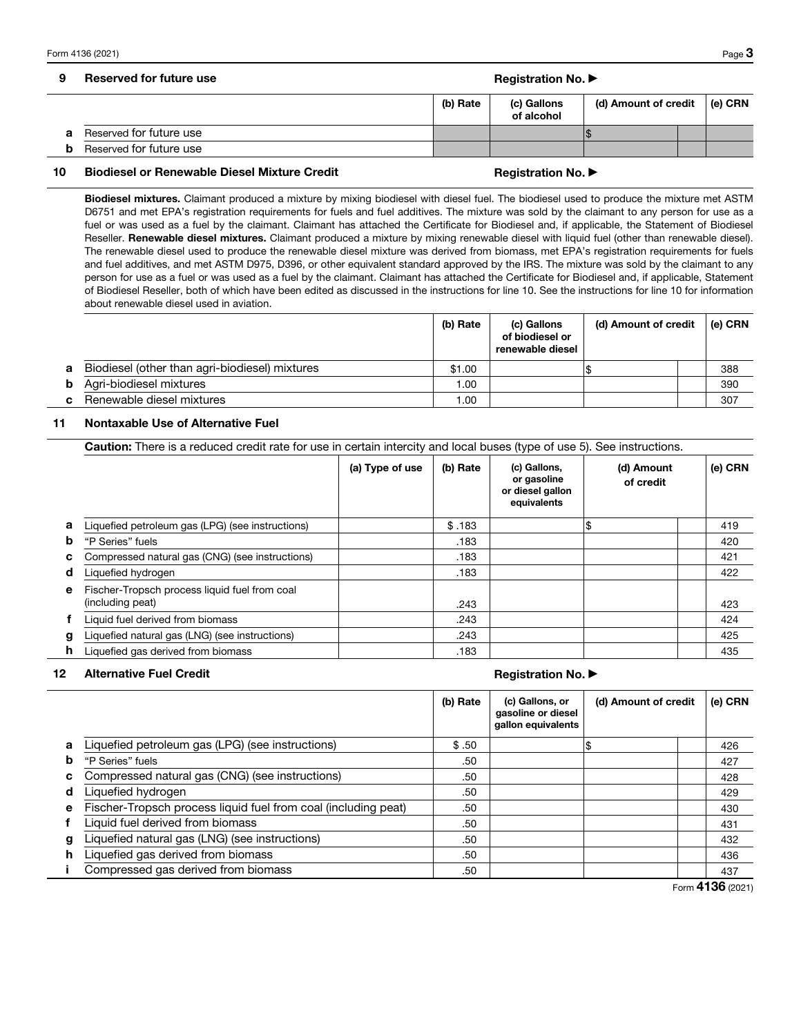# 9 Reserved for future use Registration No. ▶ Registration No. ▶ Registration No.

|                         | (b) Rate | (c) Gallons<br>of alcohol | (d) Amount of credit |  | ∣ (e) CRN |
|-------------------------|----------|---------------------------|----------------------|--|-----------|
| Reserved for future use |          |                           |                      |  |           |
| Reserved for future use |          |                           |                      |  |           |

### 10 Biodiesel or Renewable Diesel Mixture Credit Month Registration No. ▶

Biodiesel mixtures. Claimant produced a mixture by mixing biodiesel with diesel fuel. The biodiesel used to produce the mixture met ASTM D6751 and met EPA's registration requirements for fuels and fuel additives. The mixture was sold by the claimant to any person for use as a fuel or was used as a fuel by the claimant. Claimant has attached the Certificate for Biodiesel and, if applicable, the Statement of Biodiesel Reseller. Renewable diesel mixtures. Claimant produced a mixture by mixing renewable diesel with liquid fuel (other than renewable diesel). The renewable diesel used to produce the renewable diesel mixture was derived from biomass, met EPA's registration requirements for fuels and fuel additives, and met ASTM D975, D396, or other equivalent standard approved by the IRS. The mixture was sold by the claimant to any person for use as a fuel or was used as a fuel by the claimant. Claimant has attached the Certificate for Biodiesel and, if applicable, Statement of Biodiesel Reseller, both of which have been edited as discussed in the instructions for line 10. See the instructions for line 10 for information about renewable diesel used in aviation.

|    |                                                | (b) Rate | (c) Gallons<br>of biodiesel or<br>renewable diesel | (d) Amount of credit |  | (e) CRN |
|----|------------------------------------------------|----------|----------------------------------------------------|----------------------|--|---------|
| а  | Biodiesel (other than agri-biodiesel) mixtures | \$1.00   |                                                    |                      |  | 388     |
| b  | Agri-biodiesel mixtures                        | 00.1     |                                                    |                      |  | 390     |
| C. | Renewable diesel mixtures                      | 0.00     |                                                    |                      |  | 307     |

### 11 Nontaxable Use of Alternative Fuel

|    | <b>Caution:</b> There is a reduced credit rate for use in certain intercity and local buses (type of use 5). See instructions. |                 |          |                                                                |                         |         |  |  |
|----|--------------------------------------------------------------------------------------------------------------------------------|-----------------|----------|----------------------------------------------------------------|-------------------------|---------|--|--|
|    |                                                                                                                                | (a) Type of use | (b) Rate | (c) Gallons,<br>or gasoline<br>or diesel gallon<br>equivalents | (d) Amount<br>of credit | (e) CRN |  |  |
| a  | Liquefied petroleum gas (LPG) (see instructions)                                                                               |                 | \$.183   |                                                                | 1\$                     | 419     |  |  |
| b  | "P Series" fuels                                                                                                               |                 | .183     |                                                                |                         | 420     |  |  |
| C  | Compressed natural gas (CNG) (see instructions)                                                                                |                 | .183     |                                                                |                         | 421     |  |  |
| d  | Liquefied hydrogen                                                                                                             |                 | .183     |                                                                |                         | 422     |  |  |
| e  | Fischer-Tropsch process liquid fuel from coal<br>(including peat)                                                              |                 | .243     |                                                                |                         | 423     |  |  |
|    | Liquid fuel derived from biomass                                                                                               |                 | .243     |                                                                |                         | 424     |  |  |
| g  | Liquefied natural gas (LNG) (see instructions)                                                                                 |                 | .243     |                                                                |                         | 425     |  |  |
| h. | Liquefied gas derived from biomass                                                                                             |                 | .183     |                                                                |                         | 435     |  |  |

### 12 Alternative Fuel Credit **Registration No. ▶** Alternative Fuel Credit

|   |                                                                | (b) Rate | (c) Gallons, or<br>gasoline or diesel<br>gallon equivalents | (d) Amount of credit | (e) CRN |
|---|----------------------------------------------------------------|----------|-------------------------------------------------------------|----------------------|---------|
| a | Liquefied petroleum gas (LPG) (see instructions)               | \$.50    |                                                             |                      | 426     |
| b | "P Series" fuels                                               | .50      |                                                             |                      | 427     |
| с | Compressed natural gas (CNG) (see instructions)                | .50      |                                                             |                      | 428     |
| d | Liquefied hydrogen                                             | .50      |                                                             |                      | 429     |
| е | Fischer-Tropsch process liquid fuel from coal (including peat) | .50      |                                                             |                      | 430     |
|   | Liquid fuel derived from biomass                               | .50      |                                                             |                      | 431     |
| g | Liquefied natural gas (LNG) (see instructions)                 | .50      |                                                             |                      | 432     |
| h | Liquefied gas derived from biomass                             | .50      |                                                             |                      | 436     |
|   | Compressed gas derived from biomass                            | .50      |                                                             |                      | 437     |

Form 4136 (2021)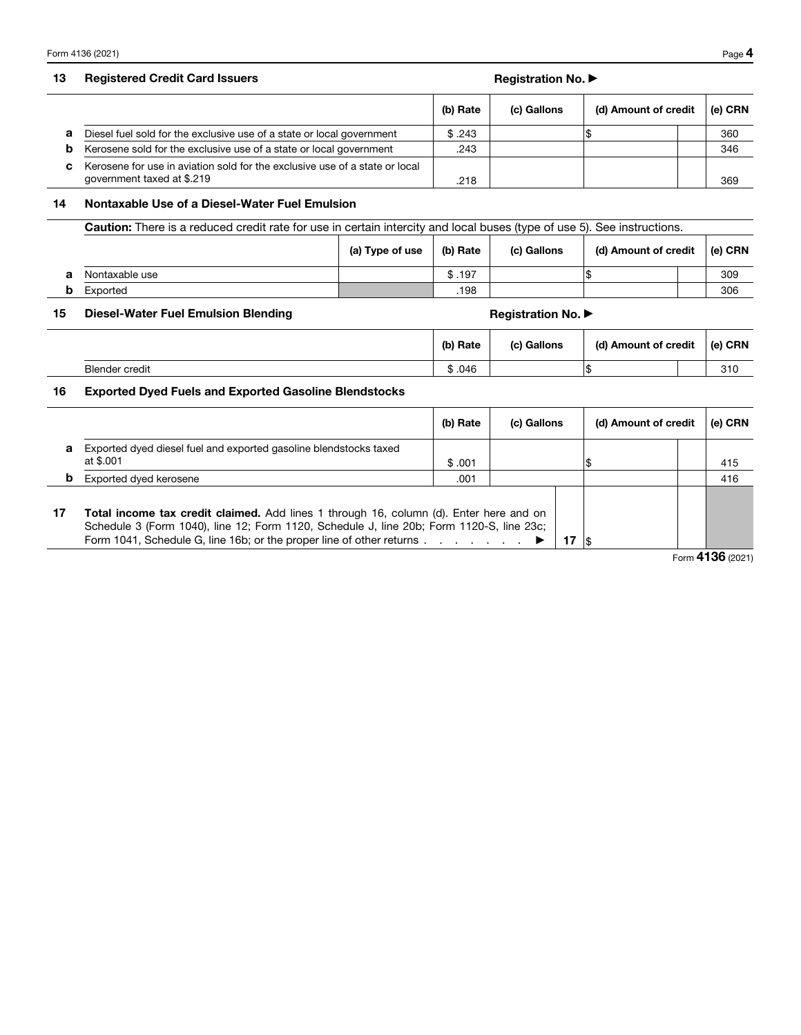# 13 Registered Credit Card Issuers Registration No. ▶ Registration No. ▶ Registration No.

|    |                                                                                                           | (b) Rate | (c) Gallons | (d) Amount of credit | (e) CRN |
|----|-----------------------------------------------------------------------------------------------------------|----------|-------------|----------------------|---------|
| a  | Diesel fuel sold for the exclusive use of a state or local government                                     | \$.243   |             |                      | 360     |
| b  | Kerosene sold for the exclusive use of a state or local government                                        | .243     |             |                      | 346     |
| C. | Kerosene for use in aviation sold for the exclusive use of a state or local<br>government taxed at \$.219 | .218     |             |                      | 369     |

### 14 Nontaxable Use of a Diesel-Water Fuel Emulsion

|   | <b>Caution:</b> There is a reduced credit rate for use in certain intercity and local buses (type of use 5). See instructions. |                 |          |             |                      |  |           |
|---|--------------------------------------------------------------------------------------------------------------------------------|-----------------|----------|-------------|----------------------|--|-----------|
|   |                                                                                                                                | (a) Type of use | (b) Rate | (c) Gallons | (d) Amount of credit |  | l (e) CRN |
| а | Nontaxable use                                                                                                                 |                 | \$.197   |             |                      |  | 309       |
|   | Exported                                                                                                                       |                 | .198     |             |                      |  | 306       |

# 15 Diesel-Water Fuel Emulsion Blending Massetti and Registration No. ▶ Registration No.

|                       | (b) Rate | (c) Gallons | (d) Amount of credit | ∣ (e) CRN |
|-----------------------|----------|-------------|----------------------|-----------|
| <b>Blender credit</b> | \$.046   |             | w                    | 310       |

# 16 Exported Dyed Fuels and Exported Gasoline Blendstocks

|    |                                                                                                                                                                                                                                                                  | (b) Rate | (c) Gallons | (d) Amount of credit | (e) CRN |
|----|------------------------------------------------------------------------------------------------------------------------------------------------------------------------------------------------------------------------------------------------------------------|----------|-------------|----------------------|---------|
| a  | Exported dyed diesel fuel and exported gasoline blendstocks taxed<br>at \$.001                                                                                                                                                                                   | \$.001   |             |                      | 415     |
| b  | Exported dyed kerosene                                                                                                                                                                                                                                           | .001     |             |                      | 416     |
| 17 | Total income tax credit claimed. Add lines 1 through 16, column (d). Enter here and on<br>Schedule 3 (Form 1040), line 12; Form 1120, Schedule J, line 20b; Form 1120-S, line 23c;<br>Form 1041, Schedule G, line 16b; or the proper line of other returns<br>17 |          |             |                      |         |

Form 4136 (2021)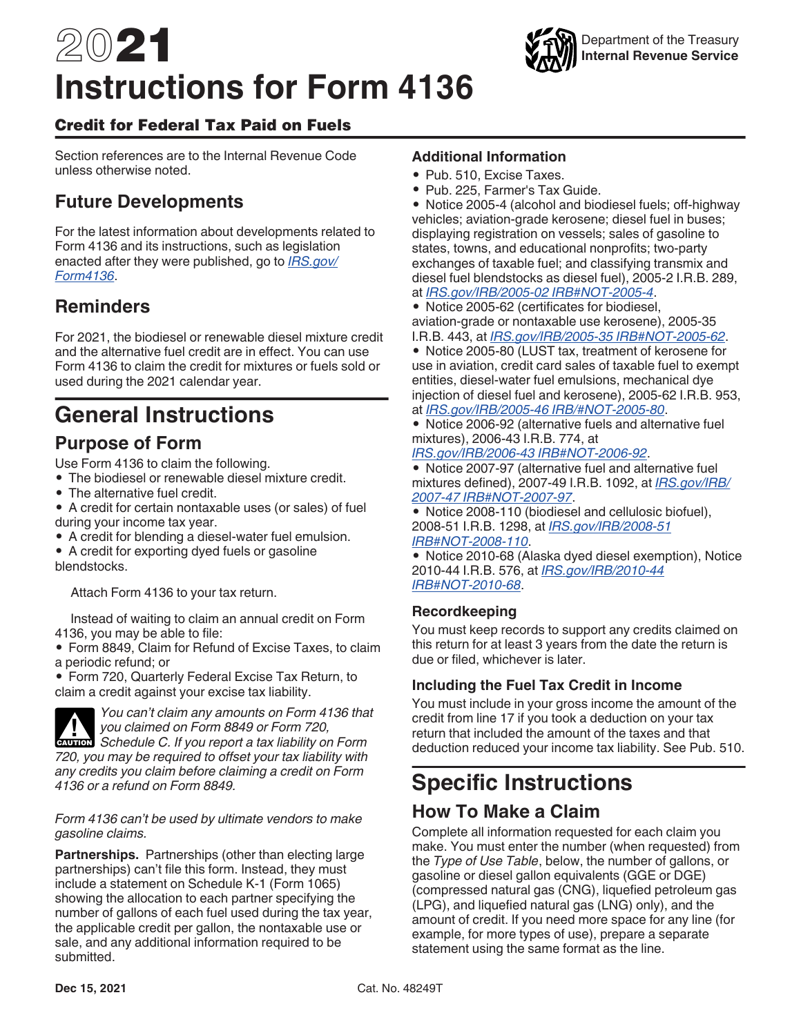# 2021 **Instructions for Form 4136**

# Credit for Federal Tax Paid on Fuels

Section references are to the Internal Revenue Code unless otherwise noted.

# **Future Developments**

For the latest information about developments related to Form 4136 and its instructions, such as legislation enacted after they were published, go to *[IRS.gov/](https://www.irs.gov/form4136) [Form4136](https://www.irs.gov/form4136)*.

# **Reminders**

For 2021, the biodiesel or renewable diesel mixture credit and the alternative fuel credit are in effect. You can use Form 4136 to claim the credit for mixtures or fuels sold or used during the 2021 calendar year.

# **General Instructions**

# **Purpose of Form**

Use Form 4136 to claim the following.

- The biodiesel or renewable diesel mixture credit.
- The alternative fuel credit.
- A credit for certain nontaxable uses (or sales) of fuel during your income tax year.
- A credit for blending a diesel-water fuel emulsion.

• A credit for exporting dyed fuels or gasoline blendstocks.

Attach Form 4136 to your tax return.

Instead of waiting to claim an annual credit on Form 4136, you may be able to file:

• Form 8849, Claim for Refund of Excise Taxes, to claim a periodic refund; or

• Form 720, Quarterly Federal Excise Tax Return, to claim a credit against your excise tax liability.



*You can't claim any amounts on Form 4136 that you claimed on Form 8849 or Form 720,*  **Schedule C. If you report a tax liability on Form**  $\overline{P}$  **Schedule C. If you report a tax liability on Form** *720, you may be required to offset your tax liability with any credits you claim before claiming a credit on Form* 

*4136 or a refund on Form 8849.*

# *Form 4136 can't be used by ultimate vendors to make gasoline claims.*

**Partnerships.** Partnerships (other than electing large partnerships) can't file this form. Instead, they must include a statement on Schedule K-1 (Form 1065) showing the allocation to each partner specifying the number of gallons of each fuel used during the tax year, the applicable credit per gallon, the nontaxable use or sale, and any additional information required to be submitted.

# **Additional Information**

- Pub. 510, Excise Taxes.
- Pub. 225, Farmer's Tax Guide.

• Notice 2005-4 (alcohol and biodiesel fuels; off-highway vehicles; aviation-grade kerosene; diesel fuel in buses; displaying registration on vessels; sales of gasoline to states, towns, and educational nonprofits; two-party exchanges of taxable fuel; and classifying transmix and diesel fuel blendstocks as diesel fuel), 2005-2 I.R.B. 289, at *[IRS.gov/IRB/2005-02 IRB#NOT-2005-4](https://www.irs.gov/irb/2005-02_IRB#NOT-2005-4)*.

• Notice 2005-62 (certificates for biodiesel, aviation-grade or nontaxable use kerosene), 2005-35 I.R.B. 443, at *[IRS.gov/IRB/2005-35 IRB#NOT-2005-62](https://www.irs.gov/irb/2005-35_IRB#NOT-2005-62)*.

• Notice 2005-80 (LUST tax, treatment of kerosene for use in aviation, credit card sales of taxable fuel to exempt entities, diesel-water fuel emulsions, mechanical dye injection of diesel fuel and kerosene), 2005-62 I.R.B. 953, at *[IRS.gov/IRB/2005-46 IRB/#NOT-2005-80](https://www.irs.gov/irb/2005-46_IRB#NOT-2005-80)*.

• Notice 2006-92 (alternative fuels and alternative fuel mixtures), 2006-43 I.R.B. 774, at

*[IRS.gov/IRB/2006-43 IRB#NOT-2006-92](https://www.irs.gov/irb/2006-43_IRB#NOT-2006-92)*.

• Notice 2007-97 (alternative fuel and alternative fuel mixtures defined), 2007-49 I.R.B. 1092, at *[IRS.gov/IRB/](https://www.irs.gov/irb/2007-49_IRB#NOT-2007-97) [2007-47 IRB#NOT-2007-97](https://www.irs.gov/irb/2007-49_IRB#NOT-2007-97)*.

• Notice 2008-110 (biodiesel and cellulosic biofuel), 2008-51 I.R.B. 1298, at *[IRS.gov/IRB/2008-51](https://www.irs.gov/irb/2008-51_IRB#NOT-2008-110) [IRB#NOT-2008-110](https://www.irs.gov/irb/2008-51_IRB#NOT-2008-110)*.

• Notice 2010-68 (Alaska dyed diesel exemption), Notice 2010-44 I.R.B. 576, at *[IRS.gov/IRB/2010-44](https://www.irs.gov/irb/2010-44_IRB#NOT-2010-68)  [IRB#NOT-2010-68](https://www.irs.gov/irb/2010-44_IRB#NOT-2010-68)*.

# **Recordkeeping**

You must keep records to support any credits claimed on this return for at least 3 years from the date the return is due or filed, whichever is later.

# **Including the Fuel Tax Credit in Income**

You must include in your gross income the amount of the credit from line 17 if you took a deduction on your tax return that included the amount of the taxes and that deduction reduced your income tax liability. See Pub. 510.

# **Specific Instructions**

# **How To Make a Claim**

Complete all information requested for each claim you make. You must enter the number (when requested) from the *Type of Use Table*, below, the number of gallons, or gasoline or diesel gallon equivalents (GGE or DGE) (compressed natural gas (CNG), liquefied petroleum gas (LPG), and liquefied natural gas (LNG) only), and the amount of credit. If you need more space for any line (for example, for more types of use), prepare a separate statement using the same format as the line.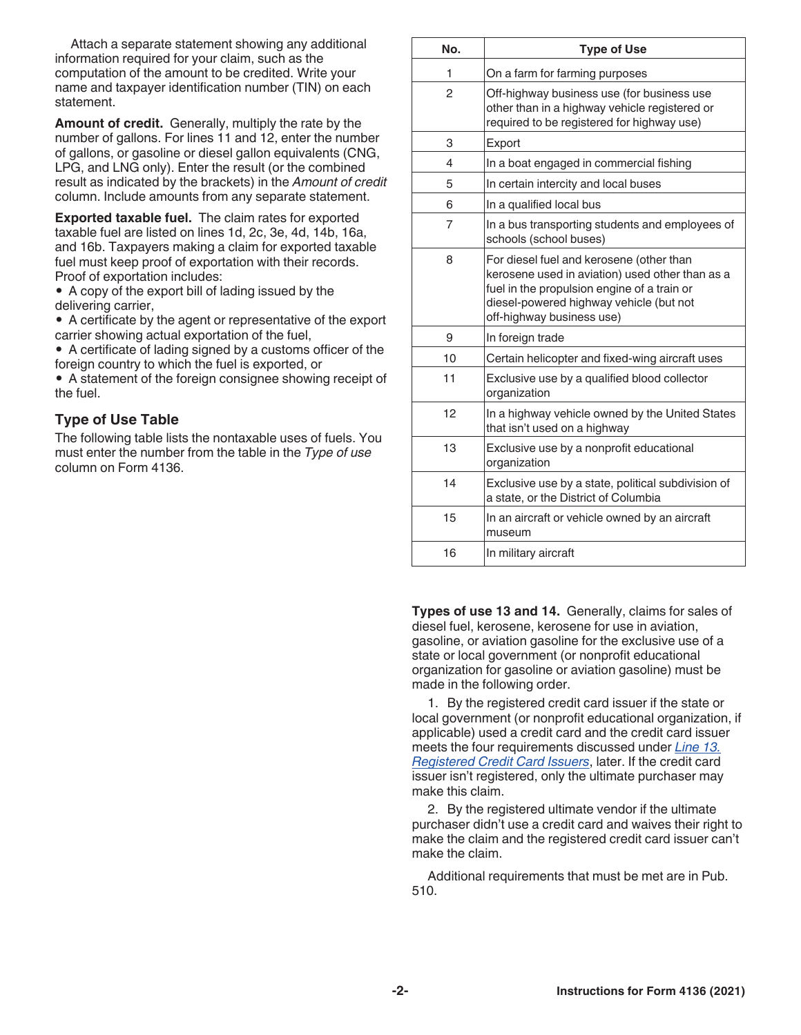Attach a separate statement showing any additional information required for your claim, such as the computation of the amount to be credited. Write your name and taxpayer identification number (TIN) on each statement.

**Amount of credit.** Generally, multiply the rate by the number of gallons. For lines 11 and 12, enter the number of gallons, or gasoline or diesel gallon equivalents (CNG, LPG, and LNG only). Enter the result (or the combined result as indicated by the brackets) in the *Amount of credit*  column. Include amounts from any separate statement.

**Exported taxable fuel.** The claim rates for exported taxable fuel are listed on lines 1d, 2c, 3e, 4d, 14b, 16a, and 16b. Taxpayers making a claim for exported taxable fuel must keep proof of exportation with their records. Proof of exportation includes:

• A copy of the export bill of lading issued by the delivering carrier,

• A certificate by the agent or representative of the export carrier showing actual exportation of the fuel,

• A certificate of lading signed by a customs officer of the foreign country to which the fuel is exported, or

• A statement of the foreign consignee showing receipt of the fuel.

# **Type of Use Table**

The following table lists the nontaxable uses of fuels. You must enter the number from the table in the *Type of use*  column on Form 4136.

| No.            | <b>Type of Use</b>                                                                                                                                                                                                 |  |  |
|----------------|--------------------------------------------------------------------------------------------------------------------------------------------------------------------------------------------------------------------|--|--|
| 1              | On a farm for farming purposes                                                                                                                                                                                     |  |  |
| 2              | Off-highway business use (for business use<br>other than in a highway vehicle registered or<br>required to be registered for highway use)                                                                          |  |  |
| 3              | Export                                                                                                                                                                                                             |  |  |
| 4              | In a boat engaged in commercial fishing                                                                                                                                                                            |  |  |
| 5              | In certain intercity and local buses                                                                                                                                                                               |  |  |
| 6              | In a qualified local bus                                                                                                                                                                                           |  |  |
| $\overline{7}$ | In a bus transporting students and employees of<br>schools (school buses)                                                                                                                                          |  |  |
| 8              | For diesel fuel and kerosene (other than<br>kerosene used in aviation) used other than as a<br>fuel in the propulsion engine of a train or<br>diesel-powered highway vehicle (but not<br>off-highway business use) |  |  |
| 9              | In foreign trade                                                                                                                                                                                                   |  |  |
| 10             | Certain helicopter and fixed-wing aircraft uses                                                                                                                                                                    |  |  |
| 11             | Exclusive use by a qualified blood collector<br>organization                                                                                                                                                       |  |  |
| 12             | In a highway vehicle owned by the United States<br>that isn't used on a highway                                                                                                                                    |  |  |
| 13             | Exclusive use by a nonprofit educational<br>organization                                                                                                                                                           |  |  |
| 14             | Exclusive use by a state, political subdivision of<br>a state, or the District of Columbia                                                                                                                         |  |  |
| 15             | In an aircraft or vehicle owned by an aircraft<br>museum                                                                                                                                                           |  |  |
| 16             | In military aircraft                                                                                                                                                                                               |  |  |

**Types of use 13 and 14.** Generally, claims for sales of diesel fuel, kerosene, kerosene for use in aviation, gasoline, or aviation gasoline for the exclusive use of a state or local government (or nonprofit educational organization for gasoline or aviation gasoline) must be made in the following order.

1. By the registered credit card issuer if the state or local government (or nonprofit educational organization, if applicable) used a credit card and the credit card issuer meets the four requirements discussed under *Line 13. Registered Credit Card Issuers*, later. If the credit card issuer isn't registered, only the ultimate purchaser may make this claim.

2. By the registered ultimate vendor if the ultimate purchaser didn't use a credit card and waives their right to make the claim and the registered credit card issuer can't make the claim.

Additional requirements that must be met are in Pub. 510.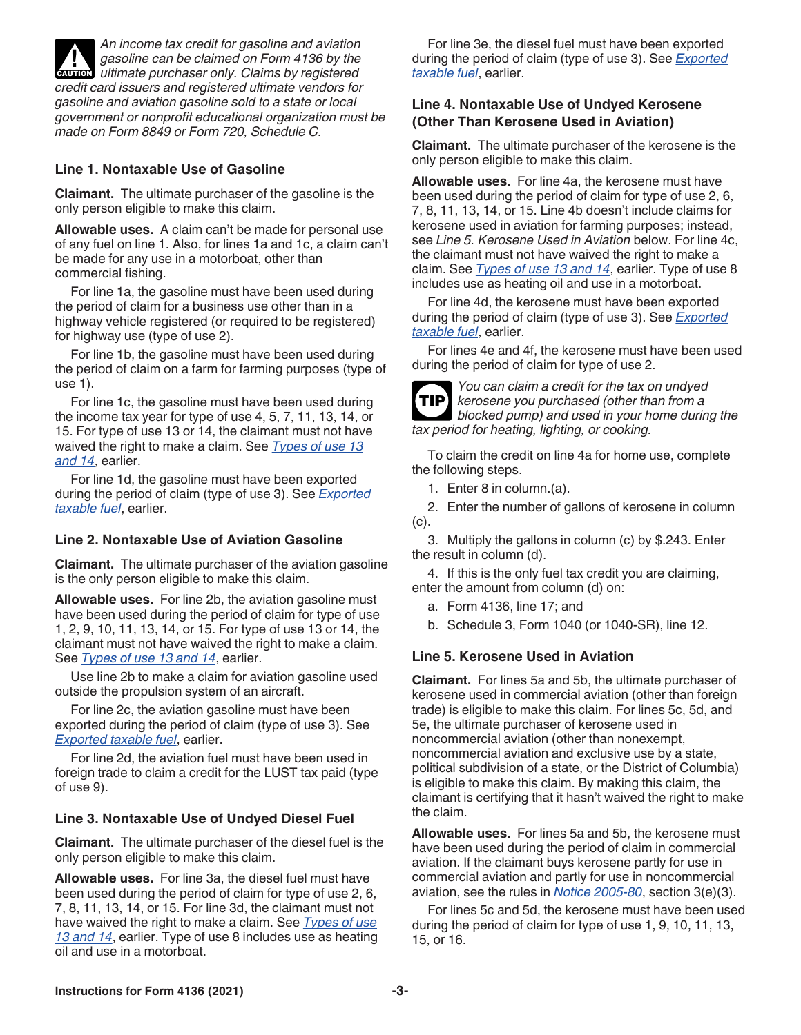*An income tax credit for gasoline and aviation gasoline can be claimed on Form 4136 by the*  gasoline can be claimed on Form 4136 by the extending ultimate purchaser only. Claims by registered *credit card issuers and registered ultimate vendors for gasoline and aviation gasoline sold to a state or local government or nonprofit educational organization must be made on Form 8849 or Form 720, Schedule C.*

# **Line 1. Nontaxable Use of Gasoline**

**Claimant.** The ultimate purchaser of the gasoline is the only person eligible to make this claim.

**Allowable uses.** A claim can't be made for personal use of any fuel on line 1. Also, for lines 1a and 1c, a claim can't be made for any use in a motorboat, other than commercial fishing.

For line 1a, the gasoline must have been used during the period of claim for a business use other than in a highway vehicle registered (or required to be registered) for highway use (type of use 2).

For line 1b, the gasoline must have been used during the period of claim on a farm for farming purposes (type of use 1).

For line 1c, the gasoline must have been used during the income tax year for type of use 4, 5, 7, 11, 13, 14, or 15. For type of use 13 or 14, the claimant must not have waived the right to make a claim. See *Types of use 13 and 14*, earlier.

For line 1d, the gasoline must have been exported during the period of claim (type of use 3). See *Exported taxable fuel*, earlier.

# **Line 2. Nontaxable Use of Aviation Gasoline**

**Claimant.** The ultimate purchaser of the aviation gasoline is the only person eligible to make this claim.

**Allowable uses.** For line 2b, the aviation gasoline must have been used during the period of claim for type of use 1, 2, 9, 10, 11, 13, 14, or 15. For type of use 13 or 14, the claimant must not have waived the right to make a claim. See *Types of use 13 and 14*, earlier.

Use line 2b to make a claim for aviation gasoline used outside the propulsion system of an aircraft.

For line 2c, the aviation gasoline must have been exported during the period of claim (type of use 3). See *Exported taxable fuel*, earlier.

For line 2d, the aviation fuel must have been used in foreign trade to claim a credit for the LUST tax paid (type of use 9).

# **Line 3. Nontaxable Use of Undyed Diesel Fuel**

**Claimant.** The ultimate purchaser of the diesel fuel is the only person eligible to make this claim.

**Allowable uses.** For line 3a, the diesel fuel must have been used during the period of claim for type of use 2, 6, 7, 8, 11, 13, 14, or 15. For line 3d, the claimant must not have waived the right to make a claim. See *Types of use 13 and 14*, earlier. Type of use 8 includes use as heating oil and use in a motorboat.

For line 3e, the diesel fuel must have been exported during the period of claim (type of use 3). See *Exported taxable fuel*, earlier.

# **Line 4. Nontaxable Use of Undyed Kerosene (Other Than Kerosene Used in Aviation)**

**Claimant.** The ultimate purchaser of the kerosene is the only person eligible to make this claim.

**Allowable uses.** For line 4a, the kerosene must have been used during the period of claim for type of use 2, 6, 7, 8, 11, 13, 14, or 15. Line 4b doesn't include claims for kerosene used in aviation for farming purposes; instead, see *Line 5. Kerosene Used in Aviation* below. For line 4c, the claimant must not have waived the right to make a claim. See *Types of use 13 and 14*, earlier. Type of use 8 includes use as heating oil and use in a motorboat.

For line 4d, the kerosene must have been exported during the period of claim (type of use 3). See *Exported taxable fuel*, earlier.

For lines 4e and 4f, the kerosene must have been used during the period of claim for type of use 2.



*You can claim a credit for the tax on undyed kerosene you purchased (other than from a blocked pump) and used in your home during the tax period for heating, lighting, or cooking.*

To claim the credit on line 4a for home use, complete the following steps.

- 1. Enter 8 in column.(a).
- 2. Enter the number of gallons of kerosene in column (c).

3. Multiply the gallons in column (c) by \$.243. Enter the result in column (d).

4. If this is the only fuel tax credit you are claiming, enter the amount from column (d) on:

- a. Form 4136, line 17; and
- b. Schedule 3, Form 1040 (or 1040-SR), line 12.

# **Line 5. Kerosene Used in Aviation**

**Claimant.** For lines 5a and 5b, the ultimate purchaser of kerosene used in commercial aviation (other than foreign trade) is eligible to make this claim. For lines 5c, 5d, and 5e, the ultimate purchaser of kerosene used in noncommercial aviation (other than nonexempt, noncommercial aviation and exclusive use by a state, political subdivision of a state, or the District of Columbia) is eligible to make this claim. By making this claim, the claimant is certifying that it hasn't waived the right to make the claim.

**Allowable uses.** For lines 5a and 5b, the kerosene must have been used during the period of claim in commercial aviation. If the claimant buys kerosene partly for use in commercial aviation and partly for use in noncommercial aviation, see the rules in *[Notice 2005-80](https://www.irs.gov/irb/2005-46_IRB#NOT-2005-80)*, section 3(e)(3).

For lines 5c and 5d, the kerosene must have been used during the period of claim for type of use 1, 9, 10, 11, 13, 15, or 16.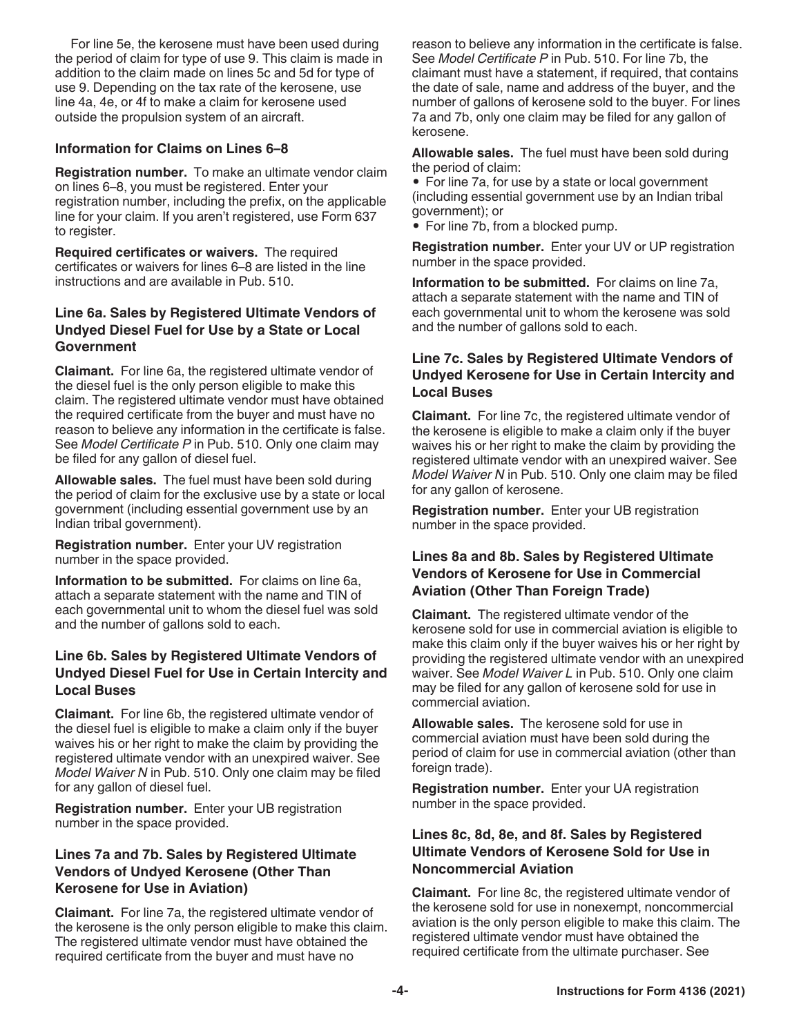For line 5e, the kerosene must have been used during the period of claim for type of use 9. This claim is made in addition to the claim made on lines 5c and 5d for type of use 9. Depending on the tax rate of the kerosene, use line 4a, 4e, or 4f to make a claim for kerosene used outside the propulsion system of an aircraft.

# **Information for Claims on Lines 6–8**

**Registration number.** To make an ultimate vendor claim on lines 6–8, you must be registered. Enter your registration number, including the prefix, on the applicable line for your claim. If you aren't registered, use Form 637 to register.

**Required certificates or waivers.** The required certificates or waivers for lines 6–8 are listed in the line instructions and are available in Pub. 510.

# **Line 6a. Sales by Registered Ultimate Vendors of Undyed Diesel Fuel for Use by a State or Local Government**

**Claimant.** For line 6a, the registered ultimate vendor of the diesel fuel is the only person eligible to make this claim. The registered ultimate vendor must have obtained the required certificate from the buyer and must have no reason to believe any information in the certificate is false. See *Model Certificate P* in Pub. 510. Only one claim may be filed for any gallon of diesel fuel.

**Allowable sales.** The fuel must have been sold during the period of claim for the exclusive use by a state or local government (including essential government use by an Indian tribal government).

**Registration number.** Enter your UV registration number in the space provided.

**Information to be submitted.** For claims on line 6a, attach a separate statement with the name and TIN of each governmental unit to whom the diesel fuel was sold and the number of gallons sold to each.

# **Line 6b. Sales by Registered Ultimate Vendors of Undyed Diesel Fuel for Use in Certain Intercity and Local Buses**

**Claimant.** For line 6b, the registered ultimate vendor of the diesel fuel is eligible to make a claim only if the buyer waives his or her right to make the claim by providing the registered ultimate vendor with an unexpired waiver. See *Model Waiver N* in Pub. 510. Only one claim may be filed for any gallon of diesel fuel.

**Registration number.** Enter your UB registration number in the space provided.

# **Lines 7a and 7b. Sales by Registered Ultimate Vendors of Undyed Kerosene (Other Than Kerosene for Use in Aviation)**

**Claimant.** For line 7a, the registered ultimate vendor of the kerosene is the only person eligible to make this claim. The registered ultimate vendor must have obtained the required certificate from the buyer and must have no

reason to believe any information in the certificate is false. See *Model Certificate P* in Pub. 510. For line 7b, the claimant must have a statement, if required, that contains the date of sale, name and address of the buyer, and the number of gallons of kerosene sold to the buyer. For lines 7a and 7b, only one claim may be filed for any gallon of kerosene.

**Allowable sales.** The fuel must have been sold during the period of claim:

• For line 7a, for use by a state or local government (including essential government use by an Indian tribal government); or

• For line 7b, from a blocked pump.

**Registration number.** Enter your UV or UP registration number in the space provided.

**Information to be submitted.** For claims on line 7a, attach a separate statement with the name and TIN of each governmental unit to whom the kerosene was sold and the number of gallons sold to each.

# **Line 7c. Sales by Registered Ultimate Vendors of Undyed Kerosene for Use in Certain Intercity and Local Buses**

**Claimant.** For line 7c, the registered ultimate vendor of the kerosene is eligible to make a claim only if the buyer waives his or her right to make the claim by providing the registered ultimate vendor with an unexpired waiver. See *Model Waiver N* in Pub. 510. Only one claim may be filed for any gallon of kerosene.

**Registration number.** Enter your UB registration number in the space provided.

# **Lines 8a and 8b. Sales by Registered Ultimate Vendors of Kerosene for Use in Commercial Aviation (Other Than Foreign Trade)**

**Claimant.** The registered ultimate vendor of the kerosene sold for use in commercial aviation is eligible to make this claim only if the buyer waives his or her right by providing the registered ultimate vendor with an unexpired waiver. See *Model Waiver L* in Pub. 510. Only one claim may be filed for any gallon of kerosene sold for use in commercial aviation.

**Allowable sales.** The kerosene sold for use in commercial aviation must have been sold during the period of claim for use in commercial aviation (other than foreign trade).

**Registration number.** Enter your UA registration number in the space provided.

# **Lines 8c, 8d, 8e, and 8f. Sales by Registered Ultimate Vendors of Kerosene Sold for Use in Noncommercial Aviation**

**Claimant.** For line 8c, the registered ultimate vendor of the kerosene sold for use in nonexempt, noncommercial aviation is the only person eligible to make this claim. The registered ultimate vendor must have obtained the required certificate from the ultimate purchaser. See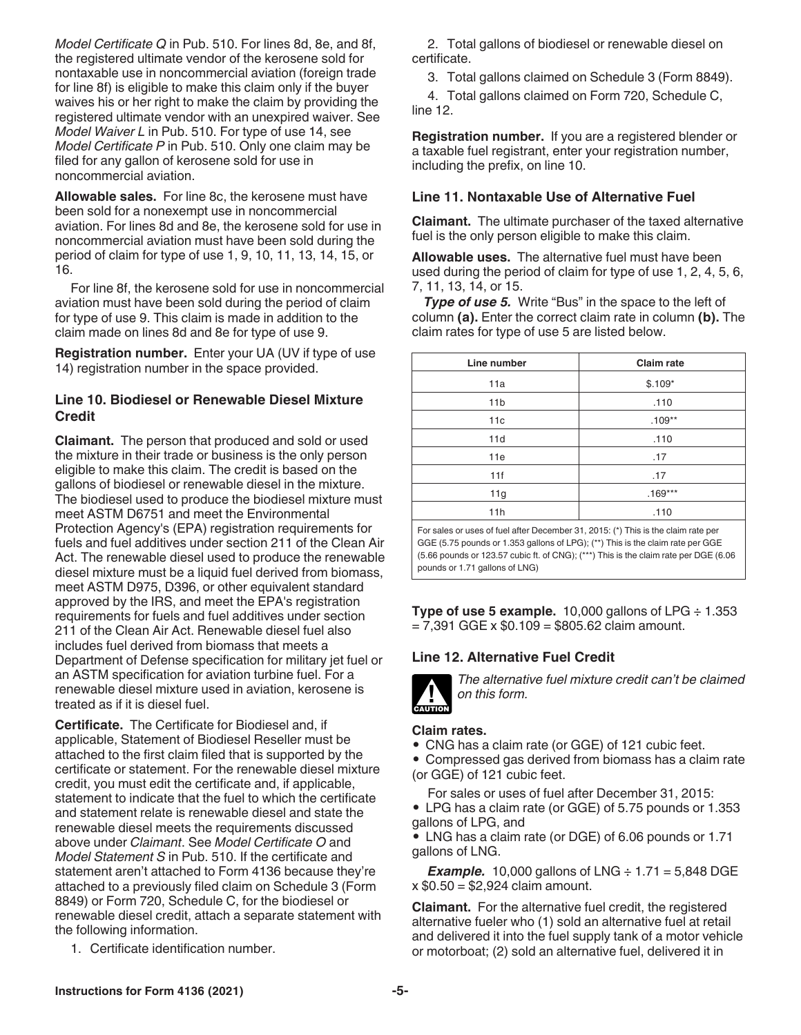*Model Certificate Q* in Pub. 510. For lines 8d, 8e, and 8f, the registered ultimate vendor of the kerosene sold for nontaxable use in noncommercial aviation (foreign trade for line 8f) is eligible to make this claim only if the buyer waives his or her right to make the claim by providing the registered ultimate vendor with an unexpired waiver. See *Model Waiver L* in Pub. 510. For type of use 14, see *Model Certificate P* in Pub. 510. Only one claim may be filed for any gallon of kerosene sold for use in noncommercial aviation.

**Allowable sales.** For line 8c, the kerosene must have been sold for a nonexempt use in noncommercial aviation. For lines 8d and 8e, the kerosene sold for use in noncommercial aviation must have been sold during the period of claim for type of use 1, 9, 10, 11, 13, 14, 15, or 16.

For line 8f, the kerosene sold for use in noncommercial aviation must have been sold during the period of claim for type of use 9. This claim is made in addition to the claim made on lines 8d and 8e for type of use 9.

**Registration number.** Enter your UA (UV if type of use 14) registration number in the space provided.

# **Line 10. Biodiesel or Renewable Diesel Mixture Credit**

**Claimant.** The person that produced and sold or used the mixture in their trade or business is the only person eligible to make this claim. The credit is based on the gallons of biodiesel or renewable diesel in the mixture. The biodiesel used to produce the biodiesel mixture must meet ASTM D6751 and meet the Environmental Protection Agency's (EPA) registration requirements for fuels and fuel additives under section 211 of the Clean Air Act. The renewable diesel used to produce the renewable diesel mixture must be a liquid fuel derived from biomass, meet ASTM D975, D396, or other equivalent standard approved by the IRS, and meet the EPA's registration requirements for fuels and fuel additives under section 211 of the Clean Air Act. Renewable diesel fuel also includes fuel derived from biomass that meets a Department of Defense specification for military jet fuel or an ASTM specification for aviation turbine fuel. For a renewable diesel mixture used in aviation, kerosene is treated as if it is diesel fuel.

**Certificate.** The Certificate for Biodiesel and, if applicable, Statement of Biodiesel Reseller must be attached to the first claim filed that is supported by the certificate or statement. For the renewable diesel mixture credit, you must edit the certificate and, if applicable, statement to indicate that the fuel to which the certificate and statement relate is renewable diesel and state the renewable diesel meets the requirements discussed above under *Claimant*. See *Model Certificate O* and *Model Statement S* in Pub. 510. If the certificate and statement aren't attached to Form 4136 because they're attached to a previously filed claim on Schedule 3 (Form 8849) or Form 720, Schedule C, for the biodiesel or renewable diesel credit, attach a separate statement with the following information.

1. Certificate identification number.

2. Total gallons of biodiesel or renewable diesel on certificate.

3. Total gallons claimed on Schedule 3 (Form 8849).

4. Total gallons claimed on Form 720, Schedule C, line 12.

**Registration number.** If you are a registered blender or a taxable fuel registrant, enter your registration number, including the prefix, on line 10.

# **Line 11. Nontaxable Use of Alternative Fuel**

**Claimant.** The ultimate purchaser of the taxed alternative fuel is the only person eligible to make this claim.

**Allowable uses.** The alternative fuel must have been used during the period of claim for type of use 1, 2, 4, 5, 6, 7, 11, 13, 14, or 15.

**Type of use 5.** Write "Bus" in the space to the left of column **(a).** Enter the correct claim rate in column **(b).** The claim rates for type of use 5 are listed below.

| Line number     | <b>Claim rate</b> |  |  |  |
|-----------------|-------------------|--|--|--|
| 11a             | $$.109*$          |  |  |  |
| 11 <sub>b</sub> | .110              |  |  |  |
| 11c             | $.109**$          |  |  |  |
| 11d             | .110              |  |  |  |
| 11e             | .17               |  |  |  |
| 11f             | .17               |  |  |  |
| 11g             | $.169***$         |  |  |  |
| 11h             | .110              |  |  |  |
|                 |                   |  |  |  |

For sales or uses of fuel after December 31, 2015: (\*) This is the claim rate per GGE (5.75 pounds or 1.353 gallons of LPG); (\*\*) This is the claim rate per GGE (5.66 pounds or 123.57 cubic ft. of CNG); (\*\*\*) This is the claim rate per DGE (6.06 pounds or 1.71 gallons of LNG)

**Type of use 5 example.** 10,000 gallons of LPG ÷ 1.353  $= 7,391$  GGE x \$0.109 = \$805.62 claim amount.

# **Line 12. Alternative Fuel Credit**



*The alternative fuel mixture credit can't be claimed on this form.*

# **Claim rates.**

• CNG has a claim rate (or GGE) of 121 cubic feet.

• Compressed gas derived from biomass has a claim rate (or GGE) of 121 cubic feet.

For sales or uses of fuel after December 31, 2015:

• LPG has a claim rate (or GGE) of 5.75 pounds or 1.353 gallons of LPG, and

• LNG has a claim rate (or DGE) of 6.06 pounds or 1.71 gallons of LNG.

**Example.** 10,000 gallons of LNG  $\div$  1.71 = 5,848 DGE x \$0.50 = \$2,924 claim amount.

**Claimant.** For the alternative fuel credit, the registered alternative fueler who (1) sold an alternative fuel at retail and delivered it into the fuel supply tank of a motor vehicle or motorboat; (2) sold an alternative fuel, delivered it in